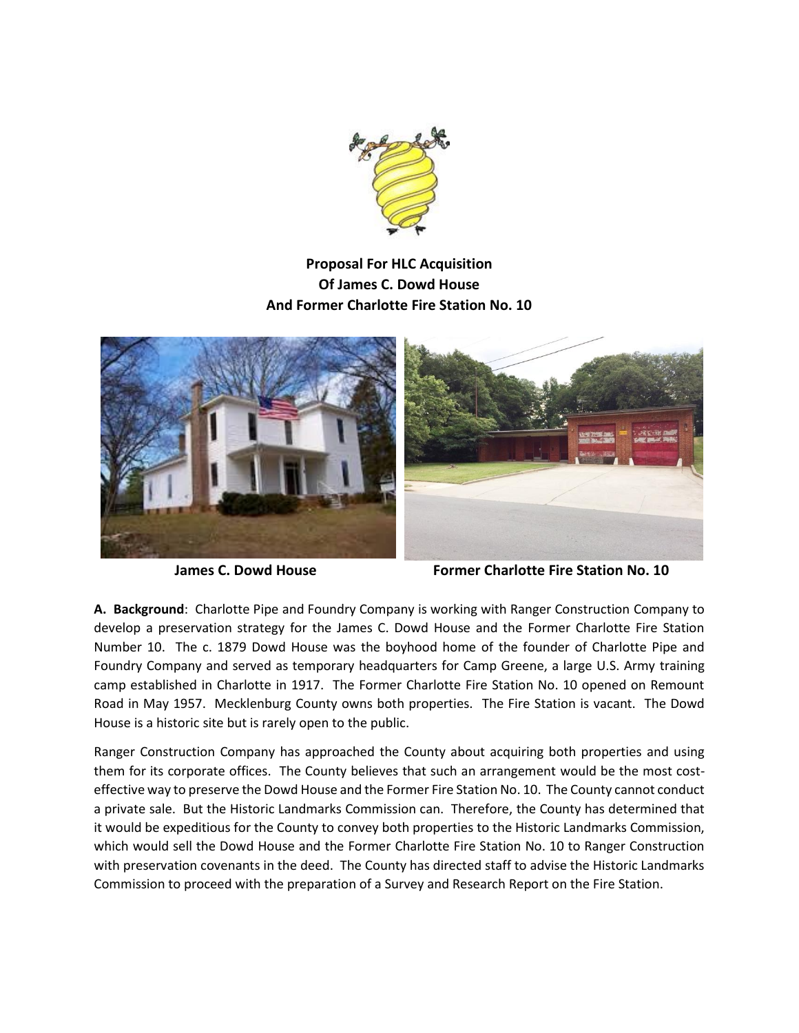

## **Proposal For HLC Acquisition Of James C. Dowd House And Former Charlotte Fire Station No. 10**



**James C. Dowd House The Station Charlotte Fire Station No. 10** 

**A. Background**: Charlotte Pipe and Foundry Company is working with Ranger Construction Company to develop a preservation strategy for the James C. Dowd House and the Former Charlotte Fire Station Number 10. The c. 1879 Dowd House was the boyhood home of the founder of Charlotte Pipe and Foundry Company and served as temporary headquarters for Camp Greene, a large U.S. Army training camp established in Charlotte in 1917. The Former Charlotte Fire Station No. 10 opened on Remount Road in May 1957. Mecklenburg County owns both properties. The Fire Station is vacant. The Dowd House is a historic site but is rarely open to the public.

Ranger Construction Company has approached the County about acquiring both properties and using them for its corporate offices. The County believes that such an arrangement would be the most costeffective way to preserve the Dowd House and the Former Fire Station No. 10. The County cannot conduct a private sale. But the Historic Landmarks Commission can. Therefore, the County has determined that it would be expeditious for the County to convey both properties to the Historic Landmarks Commission, which would sell the Dowd House and the Former Charlotte Fire Station No. 10 to Ranger Construction with preservation covenants in the deed. The County has directed staff to advise the Historic Landmarks Commission to proceed with the preparation of a Survey and Research Report on the Fire Station.